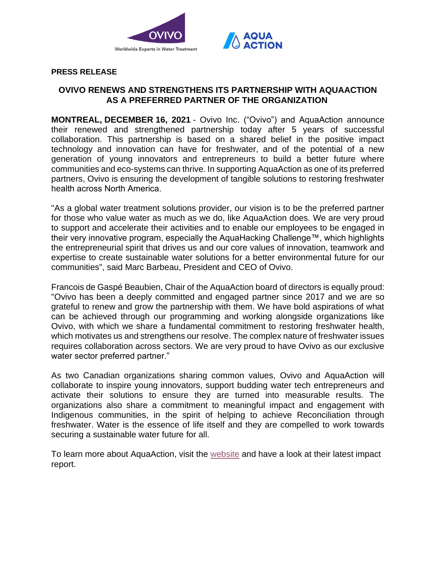

## **PRESS RELEASE**

# **OVIVO RENEWS AND STRENGTHENS ITS PARTNERSHIP WITH AQUAACTION AS A PREFERRED PARTNER OF THE ORGANIZATION**

**MONTREAL, DECEMBER 16, 2021** - Ovivo Inc. ("Ovivo") and AquaAction announce their renewed and strengthened partnership today after 5 years of successful collaboration. This partnership is based on a shared belief in the positive impact technology and innovation can have for freshwater, and of the potential of a new generation of young innovators and entrepreneurs to build a better future where communities and eco-systems can thrive. In supporting AquaAction as one of its preferred partners, Ovivo is ensuring the development of tangible solutions to restoring freshwater health across North America. 

"As a global water treatment solutions provider, our vision is to be the preferred partner for those who value water as much as we do, like AquaAction does. We are very proud to support and accelerate their activities and to enable our employees to be engaged in their very innovative program, especially the AquaHacking Challenge™, which highlights the entrepreneurial spirit that drives us and our core values of innovation, teamwork and expertise to create sustainable water solutions for a better environmental future for our communities", said Marc Barbeau, President and CEO of Ovivo.

Francois de Gaspé Beaubien, Chair of the AquaAction board of directors is equally proud: "Ovivo has been a deeply committed and engaged partner since 2017 and we are so grateful to renew and grow the partnership with them. We have bold aspirations of what can be achieved through our programming and working alongside organizations like Ovivo, with which we share a fundamental commitment to restoring freshwater health, which motivates us and strengthens our resolve. The complex nature of freshwater issues requires collaboration across sectors. We are very proud to have Ovivo as our exclusive water sector preferred partner."

As two Canadian organizations sharing common values, Ovivo and AquaAction will collaborate to inspire young innovators, support budding water tech entrepreneurs and activate their solutions to ensure they are turned into measurable results. The organizations also share a commitment to meaningful impact and engagement with Indigenous communities, in the spirit of helping to achieve Reconciliation through freshwater. Water is the essence of life itself and they are compelled to work towards securing a sustainable water future for all.

To learn more about AquaAction, visit the [website](https://aquaaction.org/) and have a look at their latest impact report.